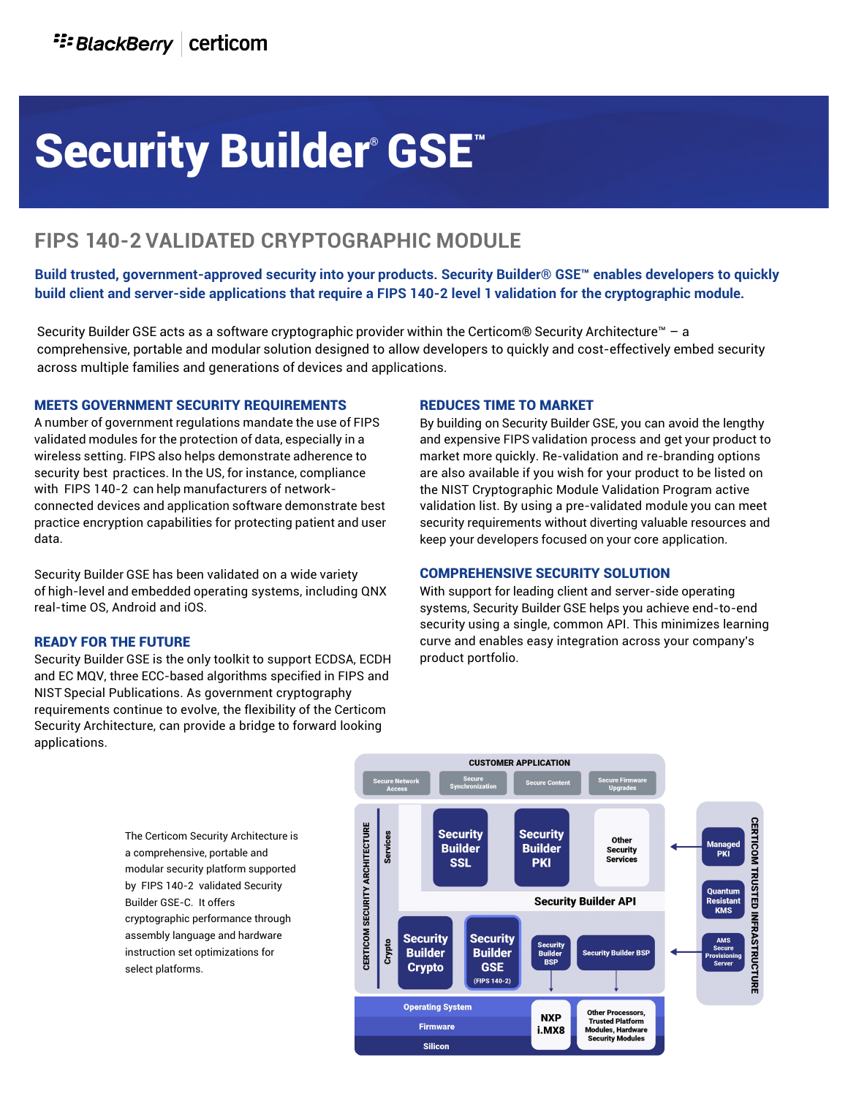# Security Builder® GSE™

### **FIPS 140-2 VALIDATED CRYPTOGRAPHIC MODULE**

**Build trusted, government-approved security into your products. Security Builder® GSE™ enables developers to quickly build client and server-side applications that require a FIPS 140-2 level 1 validation for the cryptographic module.** 

Security Builder GSE acts as a software cryptographic provider within the Certicom® Security Architecture™ – a comprehensive, portable and modular solution designed to allow developers to quickly and cost-effectively embed security across multiple families and generations of devices and applications.

#### MEETS GOVERNMENT SECURITY REQUIREMENTS

A number of government regulations mandate the use of FIPS validated modules for the protection of data, especially in a wireless setting. FIPS also helps demonstrate adherence to security best practices. In the US, for instance, compliance with FIPS 140-2 can help manufacturers of networkconnected devices and application software demonstrate best practice encryption capabilities for protecting patient and user data.

Security Builder GSE has been validated on a wide variety of high-level and embedded operating systems, including QNX real-time OS, Android and iOS.

#### READY FOR THE FUTURE

Security Builder GSE is the only toolkit to support ECDSA, ECDH and EC MQV, three ECC-based algorithms specified in FIPS and NIST Special Publications. As government cryptography requirements continue to evolve, the flexibility of the Certicom Security Architecture, can provide a bridge to forward looking applications.

#### REDUCES TIME TO MARKET

By building on Security Builder GSE, you can avoid the lengthy and expensive FIPS validation process and get your product to market more quickly. Re-validation and re-branding options are also available if you wish for your product to be listed on the NIST Cryptographic Module Validation Program active validation list. By using a pre-validated module you can meet security requirements without diverting valuable resources and keep your developers focused on your core application.

#### COMPREHENSIVE SECURITY SOLUTION

With support for leading client and server-side operating systems, Security Builder GSE helps you achieve end-to-end security using a single, common API. This minimizes learning curve and enables easy integration across your company's product portfolio.

The Certicom Security Architecture is a comprehensive, portable and modular security platform supported by FIPS 140-2 validated Security Builder GSE-C. It offers cryptographic performance through assembly language and hardware instruction set optimizations for select platforms.